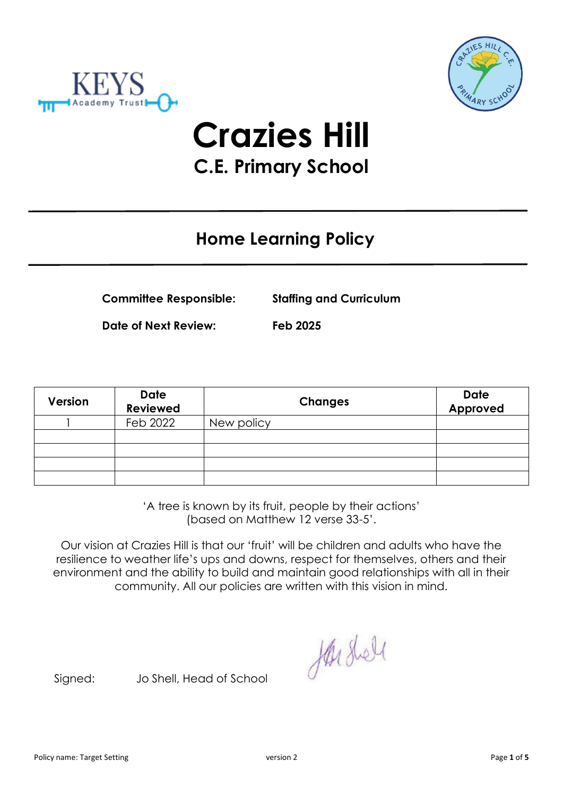



**Crazies Hill C.E. Primary School**

# **Home Learning Policy**

**Committee Responsible: Staffing and Curriculum**

**Date of Next Review: Feb 2025**

| Version | Date<br><b>Reviewed</b> | <b>Changes</b> | <b>Date</b><br>Approved |
|---------|-------------------------|----------------|-------------------------|
|         | Feb 2022                | New policy     |                         |
|         |                         |                |                         |
|         |                         |                |                         |
|         |                         |                |                         |
|         |                         |                |                         |

'A tree is known by its fruit, people by their actions' (based on Matthew 12 verse 33-5'.

Our vision at Crazies Hill is that our 'fruit' will be children and adults who have the resilience to weather life's ups and downs, respect for themselves, others and their environment and the ability to build and maintain good relationships with all in their community. All our policies are written with this vision in mind.

Harshell

Signed: Jo Shell, Head of School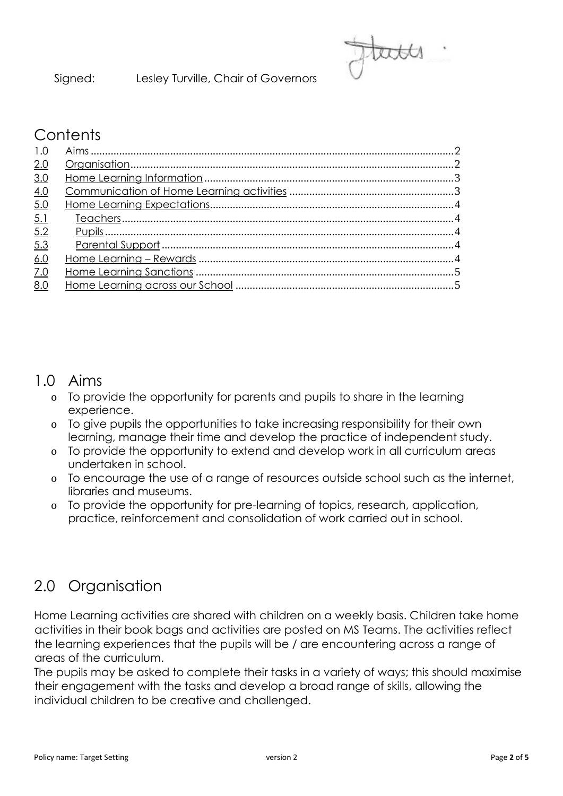Signed: Lesley Turville, Chair of Governors



#### **Contents**

| 2.0        |  |
|------------|--|
| 3.0        |  |
| 4.0        |  |
| 5.0        |  |
|            |  |
| 5.2        |  |
|            |  |
| 6.0        |  |
| <u>7.0</u> |  |
| 8.0        |  |

#### 1.0 Aims

- o To provide the opportunity for parents and pupils to share in the learning experience.
- o To give pupils the opportunities to take increasing responsibility for their own learning, manage their time and develop the practice of independent study.
- o To provide the opportunity to extend and develop work in all curriculum areas undertaken in school.
- o To encourage the use of a range of resources outside school such as the internet, libraries and museums.
- o To provide the opportunity for pre-learning of topics, research, application, practice, reinforcement and consolidation of work carried out in school.

# 2.0 Organisation

Home Learning activities are shared with children on a weekly basis. Children take home activities in their book bags and activities are posted on MS Teams. The activities reflect the learning experiences that the pupils will be / are encountering across a range of areas of the curriculum.

The pupils may be asked to complete their tasks in a variety of ways; this should maximise their engagement with the tasks and develop a broad range of skills, allowing the individual children to be creative and challenged.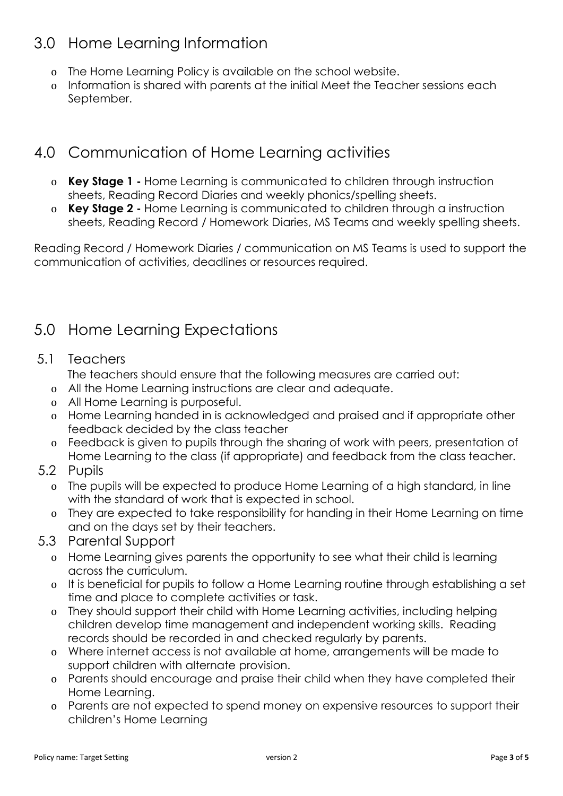# 3.0 Home Learning Information

- o The Home Learning Policy is available on the school website.
- o Information is shared with parents at the initial Meet the Teacher sessions each September.

# 4.0 Communication of Home Learning activities

- o **Key Stage 1 -** Home Learning is communicated to children through instruction sheets, Reading Record Diaries and weekly phonics/spelling sheets.
- o **Key Stage 2 -** Home Learning is communicated to children through a instruction sheets, Reading Record / Homework Diaries, MS Teams and weekly spelling sheets.

Reading Record / Homework Diaries / communication on MS Teams is used to support the communication of activities, deadlines or resources required.

# 5.0 Home Learning Expectations

#### 5.1 Teachers

The teachers should ensure that the following measures are carried out:

- o All the Home Learning instructions are clear and adequate.
- o All Home Learning is purposeful.
- o Home Learning handed in is acknowledged and praised and if appropriate other feedback decided by the class teacher
- o Feedback is given to pupils through the sharing of work with peers, presentation of Home Learning to the class (if appropriate) and feedback from the class teacher.
- 5.2 Pupils
	- o The pupils will be expected to produce Home Learning of a high standard, in line with the standard of work that is expected in school.
	- o They are expected to take responsibility for handing in their Home Learning on time and on the days set by their teachers.
- 5.3 Parental Support
	- o Home Learning gives parents the opportunity to see what their child is learning across the curriculum.
	- o It is beneficial for pupils to follow a Home Learning routine through establishing a set time and place to complete activities or task.
	- o They should support their child with Home Learning activities, including helping children develop time management and independent working skills. Reading records should be recorded in and checked regularly by parents.
	- o Where internet access is not available at home, arrangements will be made to support children with alternate provision.
	- o Parents should encourage and praise their child when they have completed their Home Learning.
	- o Parents are not expected to spend money on expensive resources to support their children's Home Learning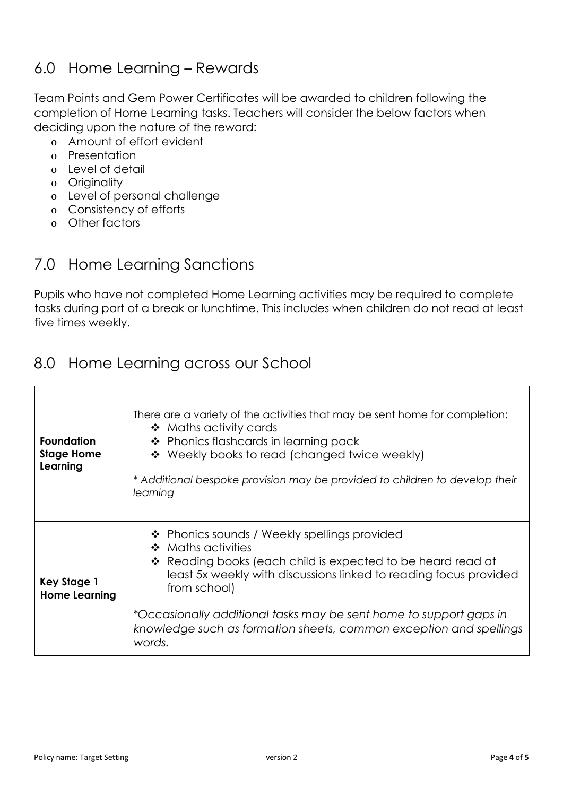### 6.0 Home Learning – Rewards

Team Points and Gem Power Certificates will be awarded to children following the completion of Home Learning tasks. Teachers will consider the below factors when deciding upon the nature of the reward:

- o Amount of effort evident
- o Presentation
- o Level of detail
- o Originality
- o Level of personal challenge
- o Consistency of efforts
- o Other factors

#### 7.0 Home Learning Sanctions

Pupils who have not completed Home Learning activities may be required to complete tasks during part of a break or lunchtime. This includes when children do not read at least five times weekly.

#### 8.0 Home Learning across our School

| <b>Foundation</b><br><b>Stage Home</b><br>Learning | There are a variety of the activities that may be sent home for completion:<br>$\bullet$ Maths activity cards<br>* Phonics flashcards in learning pack<br>❖ Weekly books to read (changed twice weekly)<br>* Additional bespoke provision may be provided to children to develop their<br>learning                                                                           |
|----------------------------------------------------|------------------------------------------------------------------------------------------------------------------------------------------------------------------------------------------------------------------------------------------------------------------------------------------------------------------------------------------------------------------------------|
| <b>Key Stage 1</b><br><b>Home Learning</b>         | ❖ Phonics sounds / Weekly spellings provided<br>❖ Maths activities<br>❖ Reading books (each child is expected to be heard read at<br>least 5x weekly with discussions linked to reading focus provided<br>from school)<br>*Occasionally additional tasks may be sent home to support gaps in<br>knowledge such as formation sheets, common exception and spellings<br>words. |